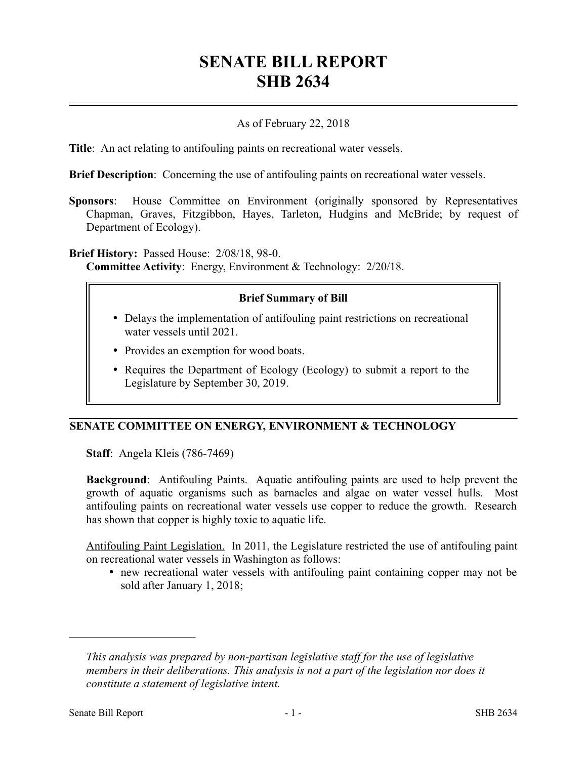## **SENATE BILL REPORT SHB 2634**

## As of February 22, 2018

**Title**: An act relating to antifouling paints on recreational water vessels.

**Brief Description**: Concerning the use of antifouling paints on recreational water vessels.

**Sponsors**: House Committee on Environment (originally sponsored by Representatives Chapman, Graves, Fitzgibbon, Hayes, Tarleton, Hudgins and McBride; by request of Department of Ecology).

**Brief History:** Passed House: 2/08/18, 98-0. **Committee Activity**: Energy, Environment & Technology: 2/20/18.

## **Brief Summary of Bill**

- Delays the implementation of antifouling paint restrictions on recreational water vessels until 2021.
- Provides an exemption for wood boats.
- Requires the Department of Ecology (Ecology) to submit a report to the Legislature by September 30, 2019.

## **SENATE COMMITTEE ON ENERGY, ENVIRONMENT & TECHNOLOGY**

**Staff**: Angela Kleis (786-7469)

**Background**: Antifouling Paints. Aquatic antifouling paints are used to help prevent the growth of aquatic organisms such as barnacles and algae on water vessel hulls. Most antifouling paints on recreational water vessels use copper to reduce the growth. Research has shown that copper is highly toxic to aquatic life.

Antifouling Paint Legislation. In 2011, the Legislature restricted the use of antifouling paint on recreational water vessels in Washington as follows:

 new recreational water vessels with antifouling paint containing copper may not be sold after January 1, 2018;

––––––––––––––––––––––

*This analysis was prepared by non-partisan legislative staff for the use of legislative members in their deliberations. This analysis is not a part of the legislation nor does it constitute a statement of legislative intent.*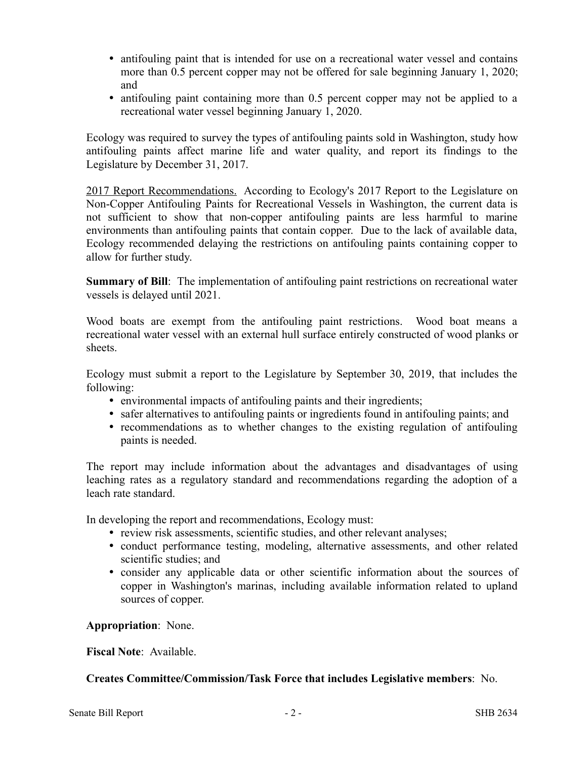- antifouling paint that is intended for use on a recreational water vessel and contains more than 0.5 percent copper may not be offered for sale beginning January 1, 2020; and
- antifouling paint containing more than 0.5 percent copper may not be applied to a recreational water vessel beginning January 1, 2020.

Ecology was required to survey the types of antifouling paints sold in Washington, study how antifouling paints affect marine life and water quality, and report its findings to the Legislature by December 31, 2017.

2017 Report Recommendations. According to Ecology's 2017 Report to the Legislature on Non-Copper Antifouling Paints for Recreational Vessels in Washington, the current data is not sufficient to show that non-copper antifouling paints are less harmful to marine environments than antifouling paints that contain copper. Due to the lack of available data, Ecology recommended delaying the restrictions on antifouling paints containing copper to allow for further study.

**Summary of Bill**: The implementation of antifouling paint restrictions on recreational water vessels is delayed until 2021.

Wood boats are exempt from the antifouling paint restrictions. Wood boat means a recreational water vessel with an external hull surface entirely constructed of wood planks or sheets.

Ecology must submit a report to the Legislature by September 30, 2019, that includes the following:

- environmental impacts of antifouling paints and their ingredients;
- safer alternatives to antifouling paints or ingredients found in antifouling paints; and
- recommendations as to whether changes to the existing regulation of antifouling paints is needed.

The report may include information about the advantages and disadvantages of using leaching rates as a regulatory standard and recommendations regarding the adoption of a leach rate standard.

In developing the report and recommendations, Ecology must:

- review risk assessments, scientific studies, and other relevant analyses;
- conduct performance testing, modeling, alternative assessments, and other related scientific studies; and
- consider any applicable data or other scientific information about the sources of copper in Washington's marinas, including available information related to upland sources of copper.

**Appropriation**: None.

**Fiscal Note**: Available.

**Creates Committee/Commission/Task Force that includes Legislative members**: No.